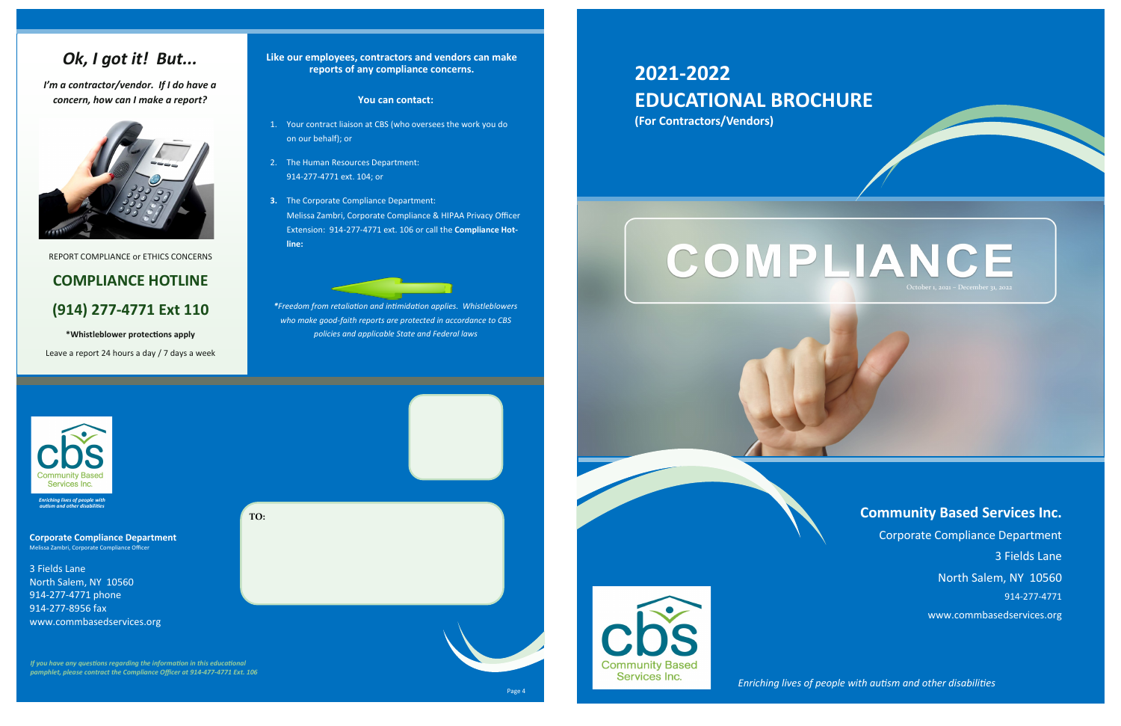4

### **You can contact:**

- 1. Your contract liaison at CBS (who oversees the work you do on our behalf); or
- 2. The Human Resources Department: 914-277-4771 ext. 104; or
- **3.** The Corporate Compliance Department: Melissa Zambri, Corporate Compliance & HIPAA Privacy Officer Extension: 914-277-4771 ext. 106 or call the **Compliance Hotline:**

*\*Freedom from retaliation and intimidation applies. Whistleblowers who make good-faith reports are protected in accordance to CBS policies and applicable State and Federal laws* 



**Like our employees, contractors and vendors can make reports of any compliance concerns.** 

# *Ok, I got it! But...*

*I'm a contractor/vendor. If I do have a concern, how can I make a report?*



3 Fields Lane North Salem, NY 10560 914-277-4771 phone 914-277-8956 fax www.commbasedservices.org

*If you have any questions regarding the information in this educational pamphlet, please contract the Compliance Officer at 914-477-4771 Ext. 106*

**TO:**

REPORT COMPLIANCE or ETHICS CONCERNS

# **COMPLIANCE HOTLINE (914) 277-4771 Ext 110**

# **\*Whistleblower protections apply**

Leave a report 24 hours a day / 7 days a week

**Corporate Compliance Department** Melissa Zambri, Corporate Compliance Officer



*Enriching lives of people with autism and other disabilities*

*Enriching lives of people with autism and other disabilities*

# **2021-2022 EDUCATIONAL BROCHURE (For Contractors/Vendors)**



# **Community Based Services Inc.**

Corporate Compliance Department 3 Fields Lane North Salem, NY 10560 914-277-4771 www.commbasedservices.org

1